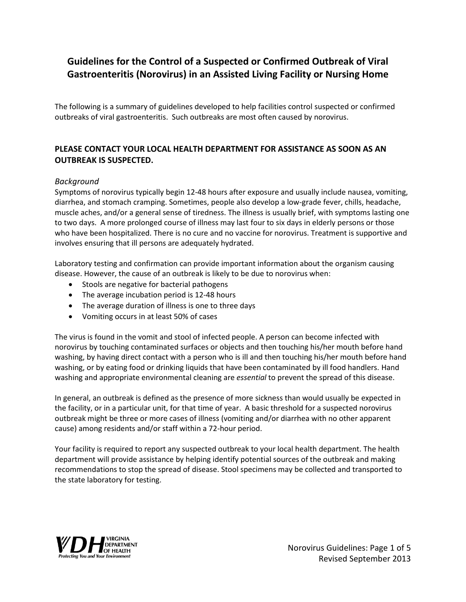# **Guidelines for the Control of a Suspected or Confirmed Outbreak of Viral Gastroenteritis (Norovirus) in an Assisted Living Facility or Nursing Home**

The following is a summary of guidelines developed to help facilities control suspected or confirmed outbreaks of viral gastroenteritis. Such outbreaks are most often caused by norovirus.

### **PLEASE CONTACT YOUR LOCAL HEALTH DEPARTMENT FOR ASSISTANCE AS SOON AS AN OUTBREAK IS SUSPECTED.**

### *Background*

Symptoms of norovirus typically begin 12-48 hours after exposure and usually include nausea, vomiting, diarrhea, and stomach cramping. Sometimes, people also develop a low-grade fever, chills, headache, muscle aches, and/or a general sense of tiredness. The illness is usually brief, with symptoms lasting one to two days. A more prolonged course of illness may last four to six days in elderly persons or those who have been hospitalized. There is no cure and no vaccine for norovirus. Treatment is supportive and involves ensuring that ill persons are adequately hydrated.

Laboratory testing and confirmation can provide important information about the organism causing disease. However, the cause of an outbreak is likely to be due to norovirus when:

- Stools are negative for bacterial pathogens
- The average incubation period is 12-48 hours
- The average duration of illness is one to three days
- Vomiting occurs in at least 50% of cases

The virus is found in the vomit and stool of infected people. A person can become infected with norovirus by touching contaminated surfaces or objects and then touching his/her mouth before hand washing, by having direct contact with a person who is ill and then touching his/her mouth before hand washing, or by eating food or drinking liquids that have been contaminated by ill food handlers. Hand washing and appropriate environmental cleaning are *essential* to prevent the spread of this disease.

In general, an outbreak is defined as the presence of more sickness than would usually be expected in the facility, or in a particular unit, for that time of year. A basic threshold for a suspected norovirus outbreak might be three or more cases of illness (vomiting and/or diarrhea with no other apparent cause) among residents and/or staff within a 72-hour period.

Your facility is required to report any suspected outbreak to your local health department. The health department will provide assistance by helping identify potential sources of the outbreak and making recommendations to stop the spread of disease. Stool specimens may be collected and transported to the state laboratory for testing.

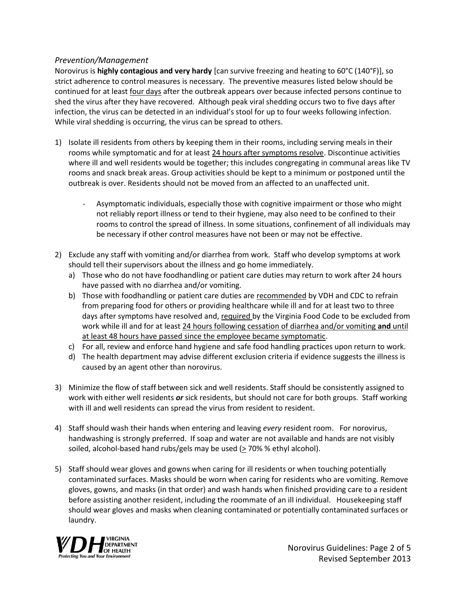#### *Prevention/Management*

Norovirus is **highly contagious and very hardy** [can survive freezing and heating to 60°C (140°F)], so strict adherence to control measures is necessary. The preventive measures listed below should be continued for at least four days after the outbreak appears over because infected persons continue to shed the virus after they have recovered. Although peak viral shedding occurs two to five days after infection, the virus can be detected in an individual's stool for up to four weeks following infection. While viral shedding is occurring, the virus can be spread to others.

- 1) Isolate ill residents from others by keeping them in their rooms, including serving meals in their rooms while symptomatic and for at least 24 hours after symptoms resolve. Discontinue activities where ill and well residents would be together; this includes congregating in communal areas like TV rooms and snack break areas. Group activities should be kept to a minimum or postponed until the outbreak is over. Residents should not be moved from an affected to an unaffected unit.
	- Asymptomatic individuals, especially those with cognitive impairment or those who might not reliably report illness or tend to their hygiene, may also need to be confined to their rooms to control the spread of illness. In some situations, confinement of all individuals may be necessary if other control measures have not been or may not be effective.
- 2) Exclude any staff with vomiting and/or diarrhea from work. Staff who develop symptoms at work should tell their supervisors about the illness and go home immediately.
	- a) Those who do not have foodhandling or patient care duties may return to work after 24 hours have passed with no diarrhea and/or vomiting.
	- b) Those with foodhandling or patient care duties are recommended by VDH and CDC to refrain from preparing food for others or providing healthcare while ill and for at least two to three days after symptoms have resolved and, required by the Virginia Food Code to be excluded from work while ill and for at least 24 hours following cessation of diarrhea and/or vomiting **and** until at least 48 hours have passed since the employee became symptomatic.
	- c) For all, review and enforce hand hygiene and safe food handling practices upon return to work.
	- d) The health department may advise different exclusion criteria if evidence suggests the illness is caused by an agent other than norovirus.
- 3) Minimize the flow of staff between sick and well residents. Staff should be consistently assigned to work with either well residents *or* sick residents, but should not care for both groups. Staff working with ill and well residents can spread the virus from resident to resident.
- 4) Staff should wash their hands when entering and leaving *every* resident room. For norovirus, handwashing is strongly preferred. If soap and water are not available and hands are not visibly soiled, alcohol-based hand rubs/gels may be used  $($  > 70% % ethyl alcohol).
- 5) Staff should wear gloves and gowns when caring for ill residents or when touching potentially contaminated surfaces. Masks should be worn when caring for residents who are vomiting. Remove gloves, gowns, and masks (in that order) and wash hands when finished providing care to a resident before assisting another resident, including the roommate of an ill individual. Housekeeping staff should wear gloves and masks when cleaning contaminated or potentially contaminated surfaces or laundry.

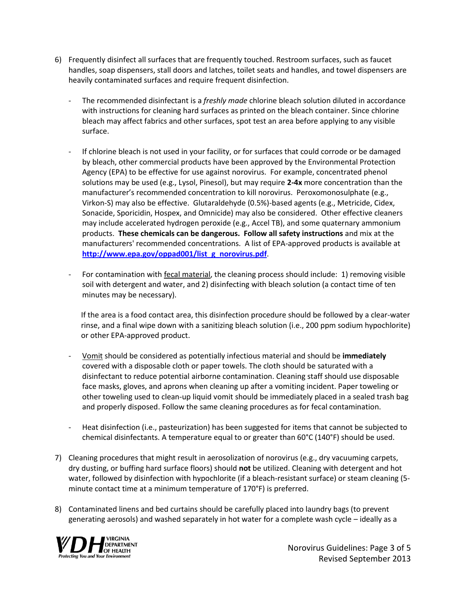- 6) Frequently disinfect all surfaces that are frequently touched. Restroom surfaces, such as faucet handles, soap dispensers, stall doors and latches, toilet seats and handles, and towel dispensers are heavily contaminated surfaces and require frequent disinfection.
	- The recommended disinfectant is a *freshly made* chlorine bleach solution diluted in accordance with instructions for cleaning hard surfaces as printed on the bleach container. Since chlorine bleach may affect fabrics and other surfaces, spot test an area before applying to any visible surface.
	- If chlorine bleach is not used in your facility, or for surfaces that could corrode or be damaged by bleach, other commercial products have been approved by the Environmental Protection Agency (EPA) to be effective for use against norovirus. For example, concentrated phenol solutions may be used (e.g., Lysol, Pinesol), but may require **2-4x** more concentration than the manufacturer's recommended concentration to kill norovirus. Peroxomonosulphate (e.g., Virkon-S) may also be effective. Glutaraldehyde (0.5%)-based agents (e.g., Metricide, Cidex, Sonacide, Sporicidin, Hospex, and Omnicide) may also be considered. Other effective cleaners may include accelerated hydrogen peroxide (e.g., Accel TB), and some quaternary ammonium products. **These chemicals can be dangerous. Follow all safety instructions** and mix at the manufacturers' recommended concentrations. A list of EPA-approved products is available at **[http://www.epa.gov/oppad001/list\\_g\\_norovirus.pdf](http://www.epa.gov/oppad001/list_g_norovirus.pdf)**.
	- For contamination with fecal material, the cleaning process should include: 1) removing visible soil with detergent and water, and 2) disinfecting with bleach solution (a contact time of ten minutes may be necessary).

If the area is a food contact area, this disinfection procedure should be followed by a clear-water rinse, and a final wipe down with a sanitizing bleach solution (i.e., 200 ppm sodium hypochlorite) or other EPA-approved product.

- Vomit should be considered as potentially infectious material and should be **immediately** covered with a disposable cloth or paper towels. The cloth should be saturated with a disinfectant to reduce potential airborne contamination. Cleaning staff should use disposable face masks, gloves, and aprons when cleaning up after a vomiting incident. Paper toweling or other toweling used to clean-up liquid vomit should be immediately placed in a sealed trash bag and properly disposed. Follow the same cleaning procedures as for fecal contamination.
- Heat disinfection (i.e., pasteurization) has been suggested for items that cannot be subjected to chemical disinfectants. A temperature equal to or greater than 60°C (140°F) should be used.
- 7) Cleaning procedures that might result in aerosolization of norovirus (e.g., dry vacuuming carpets, dry dusting, or buffing hard surface floors) should **not** be utilized. Cleaning with detergent and hot water, followed by disinfection with hypochlorite (if a bleach-resistant surface) or steam cleaning (5 minute contact time at a minimum temperature of 170°F) is preferred.
- 8) Contaminated linens and bed curtains should be carefully placed into laundry bags (to prevent generating aerosols) and washed separately in hot water for a complete wash cycle – ideally as a



Norovirus Guidelines: Page 3 of 5 Revised September 2013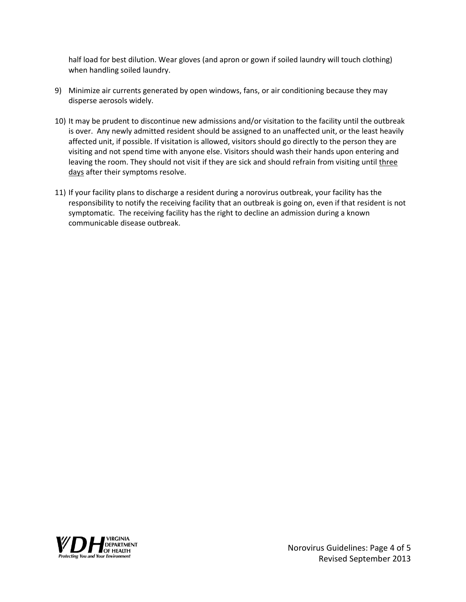half load for best dilution. Wear gloves (and apron or gown if soiled laundry will touch clothing) when handling soiled laundry.

- 9) Minimize air currents generated by open windows, fans, or air conditioning because they may disperse aerosols widely.
- 10) It may be prudent to discontinue new admissions and/or visitation to the facility until the outbreak is over. Any newly admitted resident should be assigned to an unaffected unit, or the least heavily affected unit, if possible. If visitation is allowed, visitors should go directly to the person they are visiting and not spend time with anyone else. Visitors should wash their hands upon entering and leaving the room. They should not visit if they are sick and should refrain from visiting until three days after their symptoms resolve.
- 11) If your facility plans to discharge a resident during a norovirus outbreak, your facility has the responsibility to notify the receiving facility that an outbreak is going on, even if that resident is not symptomatic. The receiving facility has the right to decline an admission during a known communicable disease outbreak.